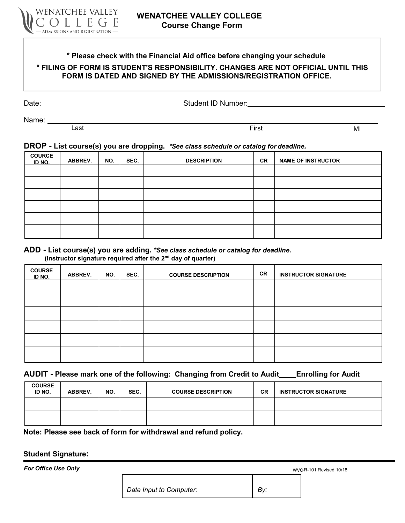

# **\* Please check with the Financial Aid office before changing your schedule \* FILING OF FORM IS STUDENT'S RESPONSIBILITY. CHANGES ARE NOT OFFICIAL UNTIL THIS FORM IS DATED AND SIGNED BY THE ADMISSIONS/REGISTRATION OFFICE.**

Date: <u>New York: Student ID Number:</u> New York: Student ID Number: New York: New York: New York: New York: New York: New York: New York: New York: New York: New York: New York: New York: New York: New York: New York: New Yo

Name: \_\_\_\_\_

Last **Example 2018** Contract MI Contract And The First **First** MI Contract MI Contract MI Contract MI Contract MI

## **DROP - List course(s) you are dropping.** *\*See class schedule or catalog for deadline.*

| <b>COURCE</b><br>ID NO. | <b>ABBREV.</b> | NO. | SEC. | <b>DESCRIPTION</b> | <b>CR</b> | <b>NAME OF INSTRUCTOR</b> |
|-------------------------|----------------|-----|------|--------------------|-----------|---------------------------|
|                         |                |     |      |                    |           |                           |
|                         |                |     |      |                    |           |                           |
|                         |                |     |      |                    |           |                           |
|                         |                |     |      |                    |           |                           |
|                         |                |     |      |                    |           |                           |
|                         |                |     |      |                    |           |                           |

#### **ADD - List course(s) you are adding.** *\*See class schedule or catalog for deadline.* **(Instructor signature required after the 2nd day of quarter)**

# **COURSE<br>ID NO. <sup>I</sup>D NO. ABBREV. NO. SEC. COURSE DESCRIPTION CR INSTRUCTOR SIGNATURE**

### **AUDIT - Please mark one of the following: Changing from Credit to Audit Enrolling for Audit**

| <b>COURSE</b><br>ID NO. | ABBREV. | NO. | SEC. | <b>COURSE DESCRIPTION</b> | <b>CR</b> | <b>INSTRUCTOR SIGNATURE</b> |
|-------------------------|---------|-----|------|---------------------------|-----------|-----------------------------|
|                         |         |     |      |                           |           |                             |
|                         |         |     |      |                           |           |                             |

**Note: Please see back of form for withdrawal and refund policy.**

#### **Student Signature:**

**For Office Use Only** WVC-R-101 Revised 10/18

*Date Input to Computer:*  $\begin{array}{c|c} By: \end{array}$